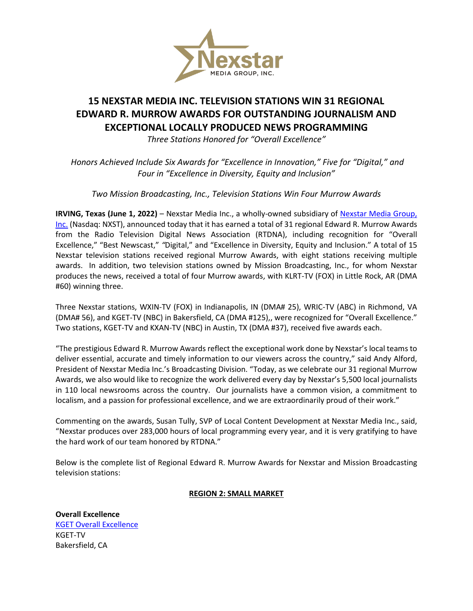

# **15 NEXSTAR MEDIA INC. TELEVISION STATIONS WIN 31 REGIONAL EDWARD R. MURROW AWARDS FOR OUTSTANDING JOURNALISM AND EXCEPTIONAL LOCALLY PRODUCED NEWS PROGRAMMING**

*Three Stations Honored for "Overall Excellence"*

*Honors Achieved Include Six Awards for "Excellence in Innovation," Five for "Digital," and Four in "Excellence in Diversity, Equity and Inclusion"* 

*Two Mission Broadcasting, Inc., Television Stations Win Four Murrow Awards*

**IRVING, Texas (June 1, 2022)** – Nexstar Media Inc., a wholly-owned subsidiary of [Nexstar Media Group,](http://www.nexstar.tv/)  [Inc.](http://www.nexstar.tv/) (Nasdaq: NXST), announced today that it has earned a total of 31 regional Edward R. Murrow Awards from the Radio Television Digital News Association (RTDNA), including recognition for "Overall Excellence," "Best Newscast," *"*Digital," and "Excellence in Diversity, Equity and Inclusion." A total of 15 Nexstar television stations received regional Murrow Awards, with eight stations receiving multiple awards. In addition, two television stations owned by Mission Broadcasting, Inc., for whom Nexstar produces the news, received a total of four Murrow awards, with KLRT-TV (FOX) in Little Rock, AR (DMA #60) winning three.

Three Nexstar stations, WXIN-TV (FOX) in Indianapolis, IN (DMA# 25), WRIC-TV (ABC) in Richmond, VA (DMA# 56), and KGET-TV (NBC) in Bakersfield, CA (DMA #125),, were recognized for "Overall Excellence." Two stations, KGET-TV and KXAN-TV (NBC) in Austin, TX (DMA #37), received five awards each.

"The prestigious Edward R. Murrow Awards reflect the exceptional work done by Nexstar's local teams to deliver essential, accurate and timely information to our viewers across the country," said Andy Alford, President of Nexstar Media Inc.'s Broadcasting Division. "Today, as we celebrate our 31 regional Murrow Awards, we also would like to recognize the work delivered every day by Nexstar's 5,500 local journalists in 110 local newsrooms across the country. Our journalists have a common vision, a commitment to localism, and a passion for professional excellence, and we are extraordinarily proud of their work."

Commenting on the awards, Susan Tully, SVP of Local Content Development at Nexstar Media Inc., said, "Nexstar produces over 283,000 hours of local programming every year, and it is very gratifying to have the hard work of our team honored by RTDNA."

Below is the complete list of Regional Edward R. Murrow Awards for Nexstar and Mission Broadcasting television stations:

# **REGION 2: SMALL MARKET**

**Overall Excellence** [KGET Overall Excellence](https://www.youtube.com/watch?v=DcqhcVZzpZs) KGET-TV Bakersfield, CA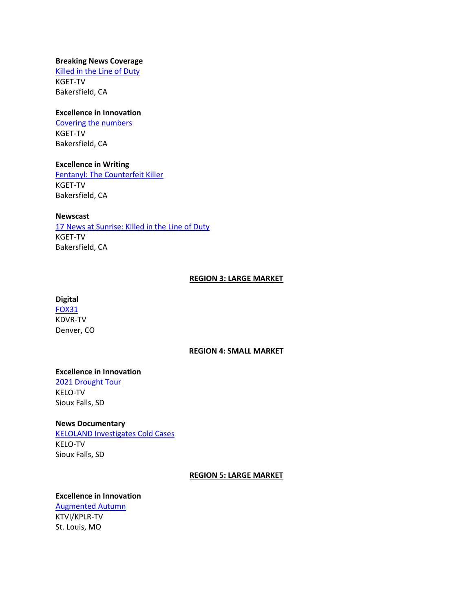## **Breaking News Coverage**

[Killed in the Line of Duty](https://www.youtube.com/watch?v=Dzu_5gsg4Wg) KGET-TV Bakersfield, CA

# **Excellence in Innovation**

[Covering the numbers](https://www.youtube.com/watch?v=DcqhcVZzpZs) KGET-TV Bakersfield, CA

## **Excellence in Writing**

[Fentanyl: The Counterfeit Killer](https://www.youtube.com/watch?v=4rwgSk14ntQ) KGET-TV Bakersfield, CA

## **Newscast**

[17 News at Sunrise: Killed in the Line of Duty](https://www.youtube.com/watch?v=1S2YSut_844&t=1478s) KGET-TV Bakersfield, CA

# **REGION 3: LARGE MARKET**

#### **Digital**

[FOX31](https://kdvr.com/home-out-of-range/) KDVR-TV Denver, CO

#### **REGION 4: SMALL MARKET**

# **Excellence in Innovation**

[2021 Drought Tour](https://youtu.be/IWWH0oEEZDg,%20https:/www.keloland.com/weather/drought/%20,%20https:/www.keloland.com/keloland-com-original/they-just-dont-know-if-they-are-going-to-have-a-crop-for-the-coming-year-farmers-reluctant-to-sell-grain-to-ethanol-plant-during-drought/%20,%20https:/www.keloland.com/keloland-com-original/field-residue-impacts-the-drought-conditions-for-crop-farmers/,%20https:/www.keloland.com/ke) KELO-TV Sioux Falls, SD

# **News Documentary**

[KELOLAND Investigates Cold Cases](https://youtu.be/scBuI82FsBY) KELO-TV Sioux Falls, SD

# **REGION 5: LARGE MARKET**

# **Excellence in Innovation** [Augmented Autumn](https://www.youtube.com/watch?v=obS8HQlI3qk) KTVI/KPLR-TV St. Louis, MO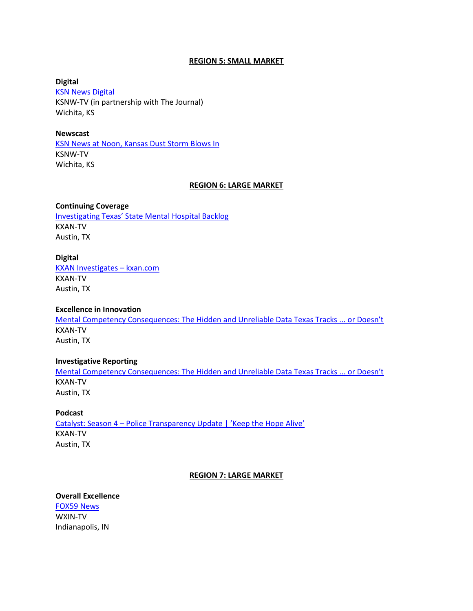#### **REGION 5: SMALL MARKET**

**Digital [KSN News Digital](https://www.ksn.com/news/local/bob-dole-kansan-veteran-political-leader-dies-at-age-98/)** KSNW-TV (in partnership with The Journal) Wichita, KS

#### **Newscast**

[KSN News at Noon, Kansas Dust Storm Blows In](https://www.youtube.com/watch?v=KNdUUGONghQ&feature=youtu.be)  KSNW-TV Wichita, KS

#### **REGION 6: LARGE MARKET**

#### **Continuing Coverage**

[Investigating Texas' State Mental Hospital Bac](https://www.kxan.com/jail-mental-health/)klog KXAN-TV Austin, TX

## **Digital**

[KXAN Investigates](http://mentalcompetencyconsequences.com/) – kxan.com KXAN-TV Austin, TX

## **Excellence in Innovation**

[Mental Competency Consequences: The Hidden and Unreliable Data Texas Tracks ... or Doesn't](http://mentalcompetencyconsequences.com/) KXAN-TV Austin, TX

#### **Investigative Reporting**

[Mental Competency Consequences: The Hidden and Unreliable Data T](https://vimeo.com/668078983)exas Tracks ... or Doesn't KXAN-TV Austin, TX

#### **Podcast**

Catalyst: Season 4 – [Police Transparency Update | 'Keep the Hope Alive'](https://www.kxan.com/catalyst-season-4/) KXAN-TV Austin, TX

#### **REGION 7: LARGE MARKET**

# **Overall Excellence**

[FOX59 News](https://youtu.be/TKpt65CLBMg) WXIN-TV Indianapolis, IN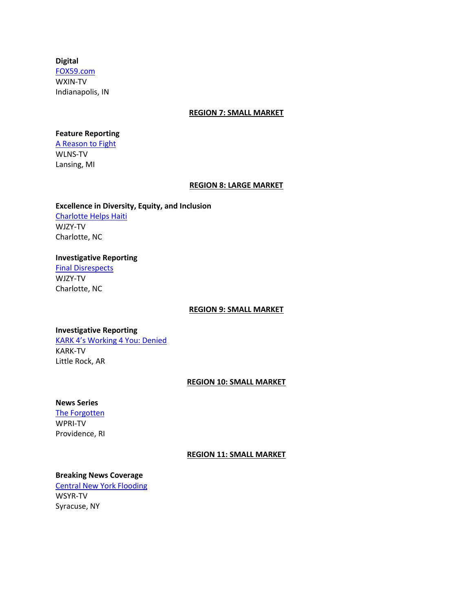# **Digital**

[FOX59.com](https://fox59.com/) WXIN-TV Indianapolis, IN

#### **REGION 7: SMALL MARKET**

# **Feature Reporting**

[A Reason to Fight](https://www.youtube.com/watch?v=GlME2DVRfBQ) WLNS-TV Lansing, MI

## **REGION 8: LARGE MARKET**

# **Excellence in Diversity, Equity, and Inclusion** [Charlotte Helps Haiti](https://youtu.be/-Mnim7oGv0o) WJZY-TV Charlotte, NC

# **Investigative Reporting** [Final Disrespects](https://youtu.be/_QaXae1RZE8)

WJZY-TV Charlotte, NC

## **REGION 9: SMALL MARKET**

# **Investigative Reporting** [KARK 4's Working 4 You: Denied](https://youtu.be/4LnK8GXpw2A) KARK-TV

Little Rock, AR

# **REGION 10: SMALL MARKET**

# **News Series**

[The Forgotten](https://www.wpri.com/target-12/hundreds-of-bodies-discovered-under-ri-highway-in-search-for-gravesite) WPRI-TV Providence, RI

# **REGION 11: SMALL MARKET**

# **Breaking News Coverage**

[Central New York Flooding](https://youtu.be/oaG3l9Q2nfM) WSYR-TV Syracuse, NY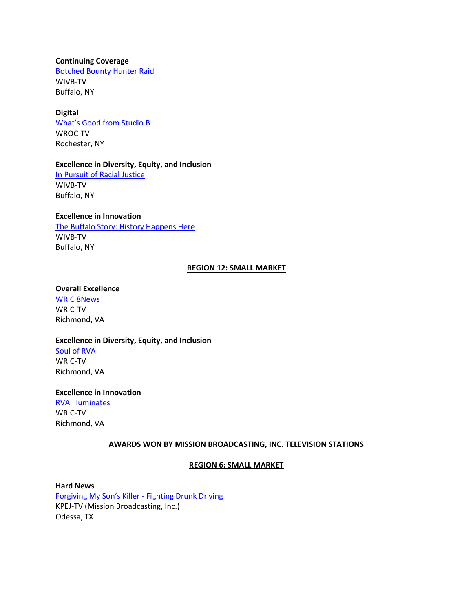#### **Continuing Coverage**

[Botched Bounty Hunter Raid](https://www.youtube.com/watch?v=_YqTx6qcu1E) WIVB-TV Buffalo, NY

## **Digital**

[What's Good from Studio B](https://www.rochesterfirst.com/award-submissions/murrow-awards-submission-news-8-wroc-digital-exclusives/) WROC-TV Rochester, NY

#### **Excellence in Diversity, Equity, and Inclusion**

[In Pursuit of Racial Justice](https://vimeo.com/656416052/eecc182195) WIVB-TV Buffalo, NY

# **Excellence in Innovation**

[The Buffalo Story: History Happens Here](https://vimeo.com/showcase/6189369) WIVB-TV Buffalo, NY

## **REGION 12: SMALL MARKET**

# **Overall Excellence**

[WRIC 8News](https://www.youtube.com/watch?v=4yZNQNw_H0Q&ab_channel=KatieWells) WRIC-TV Richmond, VA

#### **Excellence in Diversity, Equity, and Inclusion**

[Soul of RVA](https://www.youtube.com/watch?v=t-SHk_L0jD0&ab_channel=KatieWells) WRIC-TV Richmond, VA

# **Excellence in Innovation**

[RVA Illuminates](https://www.youtube.com/watch?v=1mNvNNaFTHs&ab_channel=KatieWells) WRIC-TV Richmond, VA

# **AWARDS WON BY MISSION BROADCASTING, INC. TELEVISION STATIONS**

# **REGION 6: SMALL MARKET**

# **Hard News**

[Forgiving My Son's Killer](https://www.facebook.com/monicanews/videos/200538691909154) - Fighting Drunk Driving KPEJ-TV (Mission Broadcasting, Inc.) Odessa, TX